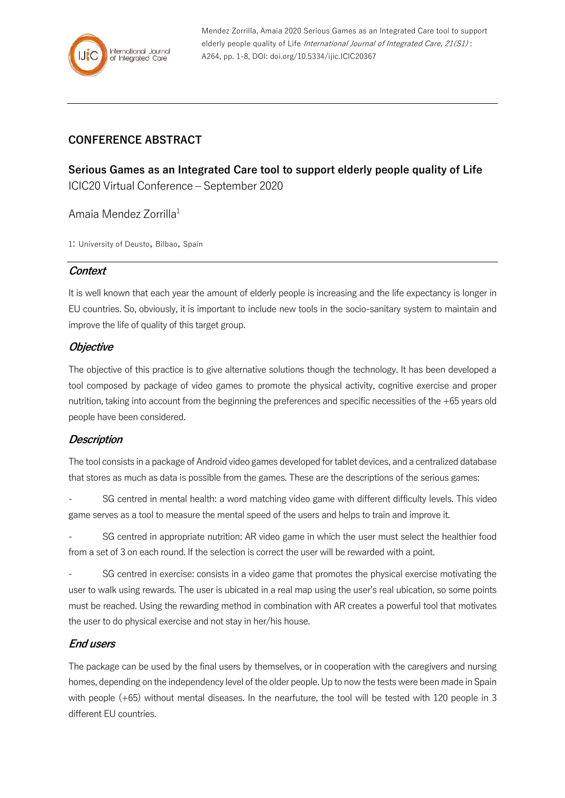

Mendez Zorrilla, Amaia 2020 Serious Games as an Integrated Care tool to support elderly people quality of Life International Journal of Integrated Care, 21(S1): A264, pp. 1-8, DOI: doi.org/10.5334/ijic.ICIC20367

# **CONFERENCE ABSTRACT**

**Serious Games as an Integrated Care tool to support elderly people quality of Life** ICIC20 Virtual Conference – September 2020

Amaia Mendez Zorrilla<sup>1</sup>

1: University of Deusto, Bilbao, Spain

## **Context**

It is well known that each year the amount of elderly people is increasing and the life expectancy is longer in EU countries. So, obviously, it is important to include new tools in the socio-sanitary system to maintain and improve the life of quality of this target group.

## **Objective**

The objective of this practice is to give alternative solutions though the technology. It has been developed a tool composed by package of video games to promote the physical activity, cognitive exercise and proper nutrition, taking into account from the beginning the preferences and specific necessities of the +65 years old people have been considered.

## **Description**

The tool consists in a package of Android video games developed for tablet devices, and a centralized database that stores as much as data is possible from the games. These are the descriptions of the serious games:

SG centred in mental health: a word matching video game with different difficulty levels. This video game serves as a tool to measure the mental speed of the users and helps to train and improve it.

SG centred in appropriate nutrition: AR video game in which the user must select the healthier food from a set of 3 on each round. If the selection is correct the user will be rewarded with a point.

SG centred in exercise: consists in a video game that promotes the physical exercise motivating the user to walk using rewards. The user is ubicated in a real map using the user's real ubication, so some points must be reached. Using the rewarding method in combination with AR creates a powerful tool that motivates the user to do physical exercise and not stay in her/his house.

## **End users**

The package can be used by the final users by themselves, or in cooperation with the caregivers and nursing homes, depending on the independency level of the older people. Up to now the tests were been made in Spain with people (+65) without mental diseases. In the nearfuture, the tool will be tested with 120 people in 3 different EU countries.